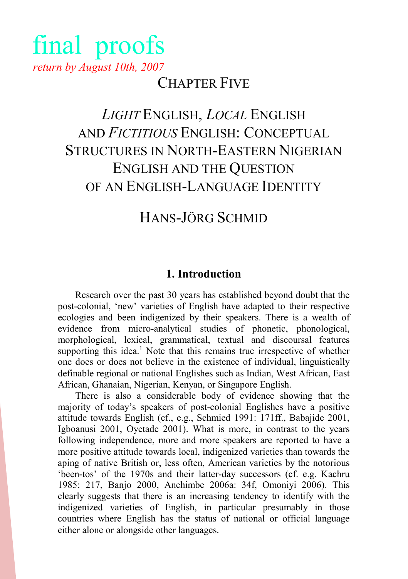# final proofs return by August 10th, 2007

# CHAPTER FIVE

# LIGHT ENGLISH, LOCAL ENGLISH AND FICTITIOUS ENGLISH: CONCEPTUAL STRUCTURES IN NORTH-EASTERN NIGERIAN ENGLISH AND THE QUESTION OF AN ENGLISH-LANGUAGE IDENTITY

# HANS-JÖRG SCHMID

## 1. Introduction

Research over the past 30 years has established beyond doubt that the post-colonial, 'new' varieties of English have adapted to their respective ecologies and been indigenized by their speakers. There is a wealth of evidence from micro-analytical studies of phonetic, phonological, morphological, lexical, grammatical, textual and discoursal features supporting this idea.<sup>1</sup> Note that this remains true irrespective of whether one does or does not believe in the existence of individual, linguistically definable regional or national Englishes such as Indian, West African, East African, Ghanaian, Nigerian, Kenyan, or Singapore English.

There is also a considerable body of evidence showing that the majority of today's speakers of post-colonial Englishes have a positive attitude towards English (cf., e.g., Schmied 1991: 171ff., Babajide 2001, Igboanusi 2001, Oyetade 2001). What is more, in contrast to the years following independence, more and more speakers are reported to have a more positive attitude towards local, indigenized varieties than towards the aping of native British or, less often, American varieties by the notorious 'been-tos' of the 1970s and their latter-day successors (cf. e.g. Kachru 1985: 217, Banjo 2000, Anchimbe 2006a: 34f, Omoniyi 2006). This clearly suggests that there is an increasing tendency to identify with the indigenized varieties of English, in particular presumably in those countries where English has the status of national or official language either alone or alongside other languages.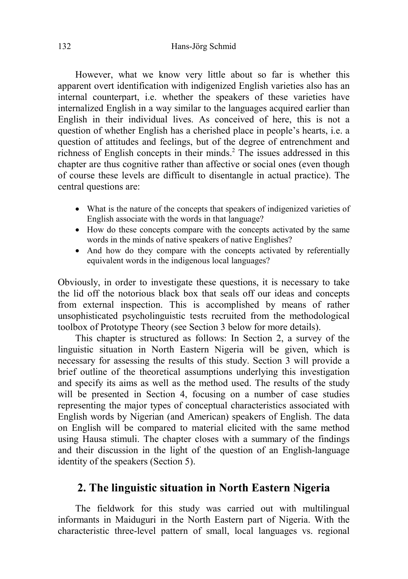However, what we know very little about so far is whether this apparent overt identification with indigenized English varieties also has an internal counterpart, i.e. whether the speakers of these varieties have internalized English in a way similar to the languages acquired earlier than English in their individual lives. As conceived of here, this is not a question of whether English has a cherished place in people's hearts, i.e. a question of attitudes and feelings, but of the degree of entrenchment and richness of English concepts in their minds.<sup>2</sup> The issues addressed in this chapter are thus cognitive rather than affective or social ones (even though of course these levels are difficult to disentangle in actual practice). The central questions are:

- What is the nature of the concepts that speakers of indigenized varieties of English associate with the words in that language?
- How do these concepts compare with the concepts activated by the same words in the minds of native speakers of native Englishes?
- And how do they compare with the concepts activated by referentially equivalent words in the indigenous local languages?

Obviously, in order to investigate these questions, it is necessary to take the lid off the notorious black box that seals off our ideas and concepts from external inspection. This is accomplished by means of rather unsophisticated psycholinguistic tests recruited from the methodological toolbox of Prototype Theory (see Section 3 below for more details).

 This chapter is structured as follows: In Section 2, a survey of the linguistic situation in North Eastern Nigeria will be given, which is necessary for assessing the results of this study. Section 3 will provide a brief outline of the theoretical assumptions underlying this investigation and specify its aims as well as the method used. The results of the study will be presented in Section 4, focusing on a number of case studies representing the major types of conceptual characteristics associated with English words by Nigerian (and American) speakers of English. The data on English will be compared to material elicited with the same method using Hausa stimuli. The chapter closes with a summary of the findings and their discussion in the light of the question of an English-language identity of the speakers (Section 5).

## 2. The linguistic situation in North Eastern Nigeria

The fieldwork for this study was carried out with multilingual informants in Maiduguri in the North Eastern part of Nigeria. With the characteristic three-level pattern of small, local languages vs. regional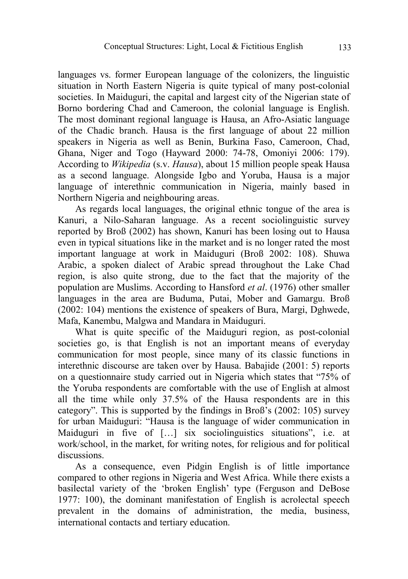languages vs. former European language of the colonizers, the linguistic situation in North Eastern Nigeria is quite typical of many post-colonial societies. In Maiduguri, the capital and largest city of the Nigerian state of Borno bordering Chad and Cameroon, the colonial language is English. The most dominant regional language is Hausa, an Afro-Asiatic language of the Chadic branch. Hausa is the first language of about 22 million speakers in Nigeria as well as Benin, Burkina Faso, Cameroon, Chad, Ghana, Niger and Togo (Hayward 2000: 74-78, Omoniyi 2006: 179). According to Wikipedia (s.v. Hausa), about 15 million people speak Hausa as a second language. Alongside Igbo and Yoruba, Hausa is a major language of interethnic communication in Nigeria, mainly based in Northern Nigeria and neighbouring areas.

As regards local languages, the original ethnic tongue of the area is Kanuri, a Nilo-Saharan language. As a recent sociolinguistic survey reported by Broß (2002) has shown, Kanuri has been losing out to Hausa even in typical situations like in the market and is no longer rated the most important language at work in Maiduguri (Broß 2002: 108). Shuwa Arabic, a spoken dialect of Arabic spread throughout the Lake Chad region, is also quite strong, due to the fact that the majority of the population are Muslims. According to Hansford et al. (1976) other smaller languages in the area are Buduma, Putai, Mober and Gamargu. Broß (2002: 104) mentions the existence of speakers of Bura, Margi, Dghwede, Mafa, Kanembu, Malgwa and Mandara in Maiduguri.

What is quite specific of the Maiduguri region, as post-colonial societies go, is that English is not an important means of everyday communication for most people, since many of its classic functions in interethnic discourse are taken over by Hausa. Babajide (2001: 5) reports on a questionnaire study carried out in Nigeria which states that "75% of the Yoruba respondents are comfortable with the use of English at almost all the time while only 37.5% of the Hausa respondents are in this category". This is supported by the findings in Broß's (2002: 105) survey for urban Maiduguri: "Hausa is the language of wider communication in Maiduguri in five of […] six sociolinguistics situations", i.e. at work/school, in the market, for writing notes, for religious and for political discussions.

As a consequence, even Pidgin English is of little importance compared to other regions in Nigeria and West Africa. While there exists a basilectal variety of the 'broken English' type (Ferguson and DeBose 1977: 100), the dominant manifestation of English is acrolectal speech prevalent in the domains of administration, the media, business, international contacts and tertiary education.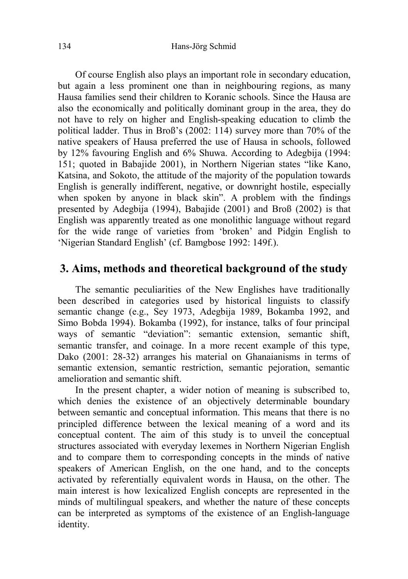Of course English also plays an important role in secondary education, but again a less prominent one than in neighbouring regions, as many Hausa families send their children to Koranic schools. Since the Hausa are also the economically and politically dominant group in the area, they do not have to rely on higher and English-speaking education to climb the political ladder. Thus in Broß's (2002: 114) survey more than 70% of the native speakers of Hausa preferred the use of Hausa in schools, followed by 12% favouring English and 6% Shuwa. According to Adegbija (1994: 151; quoted in Babajide 2001), in Northern Nigerian states "like Kano, Katsina, and Sokoto, the attitude of the majority of the population towards English is generally indifferent, negative, or downright hostile, especially when spoken by anyone in black skin". A problem with the findings presented by Adegbija (1994), Babajide (2001) and Broß (2002) is that English was apparently treated as one monolithic language without regard for the wide range of varieties from 'broken' and Pidgin English to 'Nigerian Standard English' (cf. Bamgbose 1992: 149f.).

## 3. Aims, methods and theoretical background of the study

The semantic peculiarities of the New Englishes have traditionally been described in categories used by historical linguists to classify semantic change (e.g., Sey 1973, Adegbija 1989, Bokamba 1992, and Simo Bobda 1994). Bokamba (1992), for instance, talks of four principal ways of semantic "deviation": semantic extension, semantic shift, semantic transfer, and coinage. In a more recent example of this type, Dako (2001: 28-32) arranges his material on Ghanaianisms in terms of semantic extension, semantic restriction, semantic pejoration, semantic amelioration and semantic shift.

In the present chapter, a wider notion of meaning is subscribed to, which denies the existence of an objectively determinable boundary between semantic and conceptual information. This means that there is no principled difference between the lexical meaning of a word and its conceptual content. The aim of this study is to unveil the conceptual structures associated with everyday lexemes in Northern Nigerian English and to compare them to corresponding concepts in the minds of native speakers of American English, on the one hand, and to the concepts activated by referentially equivalent words in Hausa, on the other. The main interest is how lexicalized English concepts are represented in the minds of multilingual speakers, and whether the nature of these concepts can be interpreted as symptoms of the existence of an English-language identity.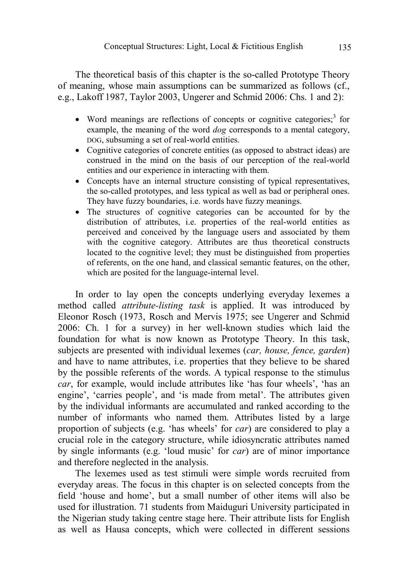The theoretical basis of this chapter is the so-called Prototype Theory of meaning, whose main assumptions can be summarized as follows (cf., e.g., Lakoff 1987, Taylor 2003, Ungerer and Schmid 2006: Chs. 1 and 2):

- Word meanings are reflections of concepts or cognitive categories; $3$  for example, the meaning of the word dog corresponds to a mental category, DOG, subsuming a set of real-world entities.
- Cognitive categories of concrete entities (as opposed to abstract ideas) are construed in the mind on the basis of our perception of the real-world entities and our experience in interacting with them.
- Concepts have an internal structure consisting of typical representatives, the so-called prototypes, and less typical as well as bad or peripheral ones. They have fuzzy boundaries, i.e. words have fuzzy meanings.
- The structures of cognitive categories can be accounted for by the distribution of attributes, i.e. properties of the real-world entities as perceived and conceived by the language users and associated by them with the cognitive category. Attributes are thus theoretical constructs located to the cognitive level; they must be distinguished from properties of referents, on the one hand, and classical semantic features, on the other, which are posited for the language-internal level.

In order to lay open the concepts underlying everyday lexemes a method called attribute-listing task is applied. It was introduced by Eleonor Rosch (1973, Rosch and Mervis 1975; see Ungerer and Schmid 2006: Ch. 1 for a survey) in her well-known studies which laid the foundation for what is now known as Prototype Theory. In this task, subjects are presented with individual lexemes *(car, house, fence, garden)* and have to name attributes, i.e. properties that they believe to be shared by the possible referents of the words. A typical response to the stimulus car, for example, would include attributes like 'has four wheels', 'has an engine', 'carries people', and 'is made from metal'. The attributes given by the individual informants are accumulated and ranked according to the number of informants who named them. Attributes listed by a large proportion of subjects (e.g. 'has wheels' for car) are considered to play a crucial role in the category structure, while idiosyncratic attributes named by single informants (e.g. 'loud music' for car) are of minor importance and therefore neglected in the analysis.

The lexemes used as test stimuli were simple words recruited from everyday areas. The focus in this chapter is on selected concepts from the field 'house and home', but a small number of other items will also be used for illustration. 71 students from Maiduguri University participated in the Nigerian study taking centre stage here. Their attribute lists for English as well as Hausa concepts, which were collected in different sessions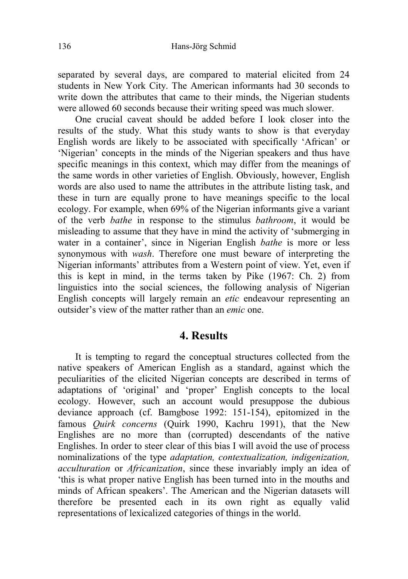separated by several days, are compared to material elicited from 24 students in New York City. The American informants had 30 seconds to write down the attributes that came to their minds, the Nigerian students were allowed 60 seconds because their writing speed was much slower.

One crucial caveat should be added before I look closer into the results of the study. What this study wants to show is that everyday English words are likely to be associated with specifically 'African' or 'Nigerian' concepts in the minds of the Nigerian speakers and thus have specific meanings in this context, which may differ from the meanings of the same words in other varieties of English. Obviously, however, English words are also used to name the attributes in the attribute listing task, and these in turn are equally prone to have meanings specific to the local ecology. For example, when 69% of the Nigerian informants give a variant of the verb bathe in response to the stimulus bathroom, it would be misleading to assume that they have in mind the activity of 'submerging in water in a container', since in Nigerian English bathe is more or less synonymous with wash. Therefore one must beware of interpreting the Nigerian informants' attributes from a Western point of view. Yet, even if this is kept in mind, in the terms taken by Pike (1967: Ch. 2) from linguistics into the social sciences, the following analysis of Nigerian English concepts will largely remain an etic endeavour representing an outsider's view of the matter rather than an emic one.

#### 4. Results

It is tempting to regard the conceptual structures collected from the native speakers of American English as a standard, against which the peculiarities of the elicited Nigerian concepts are described in terms of adaptations of 'original' and 'proper' English concepts to the local ecology. However, such an account would presuppose the dubious deviance approach (cf. Bamgbose 1992: 151-154), epitomized in the famous *Ouirk concerns* (Ouirk 1990, Kachru 1991), that the New Englishes are no more than (corrupted) descendants of the native Englishes. In order to steer clear of this bias I will avoid the use of process nominalizations of the type adaptation, contextualization, indigenization, acculturation or Africanization, since these invariably imply an idea of 'this is what proper native English has been turned into in the mouths and minds of African speakers'. The American and the Nigerian datasets will therefore be presented each in its own right as equally valid representations of lexicalized categories of things in the world.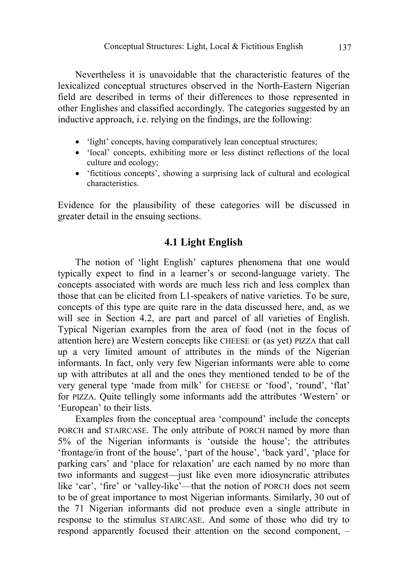Nevertheless it is unavoidable that the characteristic features of the lexicalized conceptual structures observed in the North-Eastern Nigerian field are described in terms of their differences to those represented in other Englishes and classified accordingly. The categories suggested by an inductive approach, i.e. relying on the findings, are the following:

- 'light' concepts, having comparatively lean conceptual structures;
- 'local' concepts, exhibiting more or less distinct reflections of the local culture and ecology;
- 'fictitious concepts', showing a surprising lack of cultural and ecological characteristics.

Evidence for the plausibility of these categories will be discussed in greater detail in the ensuing sections.

#### 4.1 Light English

The notion of 'light English' captures phenomena that one would typically expect to find in a learner's or second-language variety. The concepts associated with words are much less rich and less complex than those that can be elicited from L1-speakers of native varieties. To be sure, concepts of this type are quite rare in the data discussed here, and, as we will see in Section 4.2, are part and parcel of all varieties of English. Typical Nigerian examples from the area of food (not in the focus of attention here) are Western concepts like CHEESE or (as yet) PIZZA that call up a very limited amount of attributes in the minds of the Nigerian informants. In fact, only very few Nigerian informants were able to come up with attributes at all and the ones they mentioned tended to be of the very general type 'made from milk' for CHEESE or 'food', 'round', 'flat' for PIZZA. Quite tellingly some informants add the attributes 'Western' or 'European' to their lists.

Examples from the conceptual area 'compound' include the concepts PORCH and STAIRCASE. The only attribute of PORCH named by more than 5% of the Nigerian informants is 'outside the house'; the attributes 'frontage/in front of the house', 'part of the house', 'back yard', 'place for parking cars' and 'place for relaxation' are each named by no more than two informants and suggest—just like even more idiosyncratic attributes like 'car', 'fire' or 'valley-like'—that the notion of PORCH does not seem to be of great importance to most Nigerian informants. Similarly, 30 out of the 71 Nigerian informants did not produce even a single attribute in response to the stimulus STAIRCASE. And some of those who did try to respond apparently focused their attention on the second component, –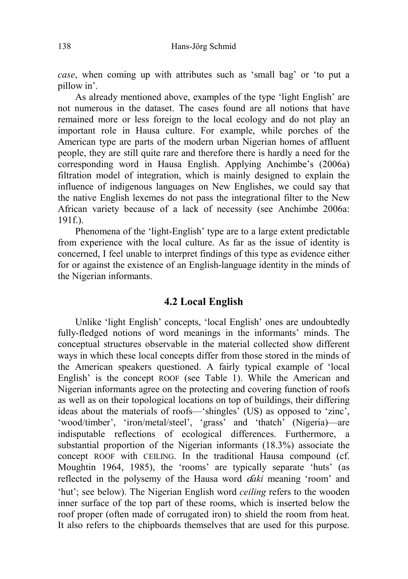case, when coming up with attributes such as 'small bag' or 'to put a pillow in'.

As already mentioned above, examples of the type 'light English' are not numerous in the dataset. The cases found are all notions that have remained more or less foreign to the local ecology and do not play an important role in Hausa culture. For example, while porches of the American type are parts of the modern urban Nigerian homes of affluent people, they are still quite rare and therefore there is hardly a need for the corresponding word in Hausa English. Applying Anchimbe's (2006a) filtration model of integration, which is mainly designed to explain the influence of indigenous languages on New Englishes, we could say that the native English lexemes do not pass the integrational filter to the New African variety because of a lack of necessity (see Anchimbe 2006a:  $191f.$ 

Phenomena of the 'light-English' type are to a large extent predictable from experience with the local culture. As far as the issue of identity is concerned, I feel unable to interpret findings of this type as evidence either for or against the existence of an English-language identity in the minds of the Nigerian informants.

### 4.2 Local English

Unlike 'light English' concepts, 'local English' ones are undoubtedly fully-fledged notions of word meanings in the informants' minds. The conceptual structures observable in the material collected show different ways in which these local concepts differ from those stored in the minds of the American speakers questioned. A fairly typical example of 'local English' is the concept ROOF (see Table 1). While the American and Nigerian informants agree on the protecting and covering function of roofs as well as on their topological locations on top of buildings, their differing ideas about the materials of roofs—'shingles' (US) as opposed to 'zinc', 'wood/timber', 'iron/metal/steel', 'grass' and 'thatch' (Nigeria)—are indisputable reflections of ecological differences. Furthermore, a substantial proportion of the Nigerian informants (18.3%) associate the concept ROOF with CEILING. In the traditional Hausa compound (cf. Moughtin 1964, 1985), the 'rooms' are typically separate 'huts' (as reflected in the polysemy of the Hausa word *daki* meaning 'room' and 'hut'; see below). The Nigerian English word ceiling refers to the wooden inner surface of the top part of these rooms, which is inserted below the roof proper (often made of corrugated iron) to shield the room from heat. It also refers to the chipboards themselves that are used for this purpose.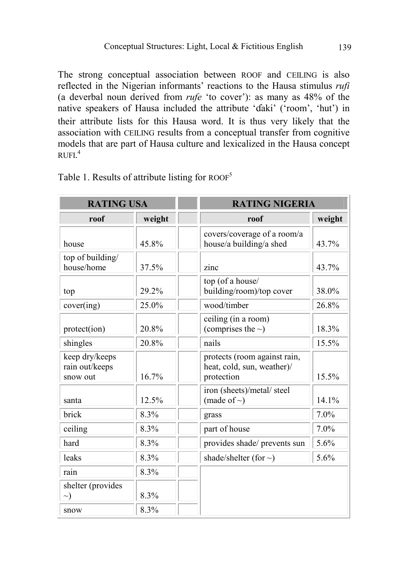The strong conceptual association between ROOF and CEILING is also reflected in the Nigerian informants' reactions to the Hausa stimulus rufi (a deverbal noun derived from rufe 'to cover'): as many as 48% of the native speakers of Hausa included the attribute 'daki' ('room', 'hut') in their attribute lists for this Hausa word. It is thus very likely that the association with CEILING results from a conceptual transfer from cognitive models that are part of Hausa culture and lexicalized in the Hausa concept RUFI. 4

| <b>RATING USA</b>                            |        | <b>RATING NIGERIA</b>                                                    |        |  |
|----------------------------------------------|--------|--------------------------------------------------------------------------|--------|--|
| roof                                         | weight | roof                                                                     | weight |  |
| house                                        | 45.8%  | covers/coverage of a room/a<br>house/a building/a shed                   | 43.7%  |  |
| top of building/<br>house/home               | 37.5%  | zinc                                                                     | 43.7%  |  |
| top                                          | 29.2%  | top (of a house/<br>building/room)/top cover                             | 38.0%  |  |
| cover(ing)                                   | 25.0%  | wood/timber                                                              | 26.8%  |  |
| protect(ion)                                 | 20.8%  | ceiling (in a room)<br>(comprises the $\sim$ )                           | 18.3%  |  |
| shingles                                     | 20.8%  | nails                                                                    | 15.5%  |  |
| keep dry/keeps<br>rain out/keeps<br>snow out | 16.7%  | protects (room against rain,<br>heat, cold, sun, weather)/<br>protection | 15.5%  |  |
| santa                                        | 12.5%  | iron (sheets)/metal/ steel<br>(made of $\sim$ )                          | 14.1%  |  |
| brick                                        | 8.3%   | grass                                                                    | 7.0%   |  |
| ceiling                                      | 8.3%   | part of house                                                            | 7.0%   |  |
| hard                                         | 8.3%   | provides shade/ prevents sun                                             | 5.6%   |  |
| leaks                                        | 8.3%   | shade/shelter (for $\sim$ )                                              | 5.6%   |  |
| rain                                         | 8.3%   |                                                                          |        |  |
| shelter (provides<br>$\rightarrow)$          | 8.3%   |                                                                          |        |  |
| snow                                         | 8.3%   |                                                                          |        |  |

Table 1. Results of attribute listing for  $ROOF<sup>5</sup>$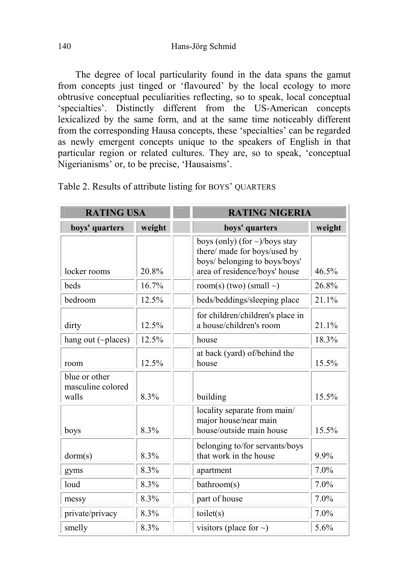The degree of local particularity found in the data spans the gamut from concepts just tinged or 'flavoured' by the local ecology to more obtrusive conceptual peculiarities reflecting, so to speak, local conceptual 'specialties'. Distinctly different from the US-American concepts lexicalized by the same form, and at the same time noticeably different from the corresponding Hausa concepts, these 'specialties' can be regarded as newly emergent concepts unique to the speakers of English in that particular region or related cultures. They are, so to speak, 'conceptual Nigerianisms' or, to be precise, 'Hausaisms'.

| <b>RATING USA</b>                           |        |                                                                                                                                       | <b>RATING NIGERIA</b> |  |  |
|---------------------------------------------|--------|---------------------------------------------------------------------------------------------------------------------------------------|-----------------------|--|--|
| boys' quarters                              | weight | boys' quarters                                                                                                                        | weight                |  |  |
| locker rooms                                | 20.8%  | boys (only) (for $\sim$ )/boys stay<br>there/ made for boys/used by<br>boys/ belonging to boys/boys'<br>area of residence/boys' house | 46.5%                 |  |  |
| heds                                        | 16.7%  | room(s) (two) (small $\sim$ )                                                                                                         | 26.8%                 |  |  |
| bedroom                                     | 12.5%  | beds/beddings/sleeping place                                                                                                          | 21.1%                 |  |  |
| dirty                                       | 12.5%  | for children/children's place in<br>a house/children's room                                                                           | 21.1%                 |  |  |
| hang out (~places)                          | 12.5%  | house                                                                                                                                 | 18.3%                 |  |  |
| room                                        | 12.5%  | at back (yard) of/behind the<br>house                                                                                                 | 15.5%                 |  |  |
| blue or other<br>masculine colored<br>walls | 8.3%   | building                                                                                                                              | 15.5%                 |  |  |
| boys                                        | 8.3%   | locality separate from main/<br>major house/near main<br>house/outside main house                                                     | 15.5%                 |  |  |
| dorm(s)                                     | 8.3%   | belonging to/for servants/boys<br>that work in the house                                                                              | 9.9%                  |  |  |
| gyms                                        | 8.3%   | apartment                                                                                                                             | 7.0%                  |  |  |
| loud                                        | 8.3%   | bathroom(s)                                                                                                                           | 7.0%                  |  |  |
| messy                                       | 8.3%   | part of house                                                                                                                         | 7.0%                  |  |  |
| private/privacy                             | 8.3%   | toilet(s)                                                                                                                             | 7.0%                  |  |  |
| smelly                                      | 8.3%   | visitors (place for $\sim$ )                                                                                                          | 5.6%                  |  |  |

Table 2. Results of attribute listing for BOYS' QUARTERS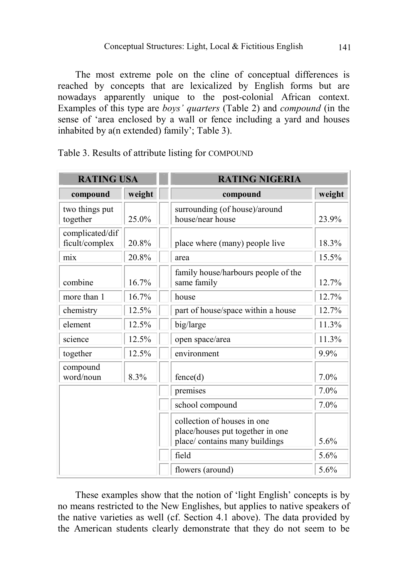The most extreme pole on the cline of conceptual differences is reached by concepts that are lexicalized by English forms but are nowadays apparently unique to the post-colonial African context. Examples of this type are boys' quarters (Table 2) and compound (in the sense of 'area enclosed by a wall or fence including a yard and houses inhabited by a(n extended) family'; Table 3).

| <b>RATING USA</b>                 |        | <b>RATING NIGERIA</b>                                                                             |        |
|-----------------------------------|--------|---------------------------------------------------------------------------------------------------|--------|
| compound                          | weight | compound                                                                                          | weight |
| two things put<br>together        | 25.0%  | surrounding (of house)/around<br>house/near house                                                 | 23.9%  |
| complicated/dif<br>ficult/complex | 20.8%  | place where (many) people live                                                                    | 18.3%  |
| mix                               | 20.8%  | area                                                                                              | 15.5%  |
| combine                           | 16.7%  | family house/harbours people of the<br>same family                                                | 12.7%  |
| more than 1                       | 16.7%  | house                                                                                             | 12.7%  |
| chemistry                         | 12.5%  | part of house/space within a house                                                                | 12.7%  |
| element                           | 12.5%  | big/large                                                                                         | 11.3%  |
| science                           | 12.5%  | open space/area                                                                                   | 11.3%  |
| together                          | 12.5%  | environment                                                                                       | 9.9%   |
| compound<br>word/noun             | 8.3%   | fence(d)                                                                                          | 7.0%   |
|                                   |        | premises                                                                                          | 7.0%   |
|                                   |        | school compound                                                                                   | 7.0%   |
|                                   |        | collection of houses in one<br>place/houses put together in one<br>place/ contains many buildings | 5.6%   |
|                                   |        | field                                                                                             | 5.6%   |
|                                   |        | flowers (around)                                                                                  | 5.6%   |

Table 3. Results of attribute listing for COMPOUND

These examples show that the notion of 'light English' concepts is by no means restricted to the New Englishes, but applies to native speakers of the native varieties as well (cf. Section 4.1 above). The data provided by the American students clearly demonstrate that they do not seem to be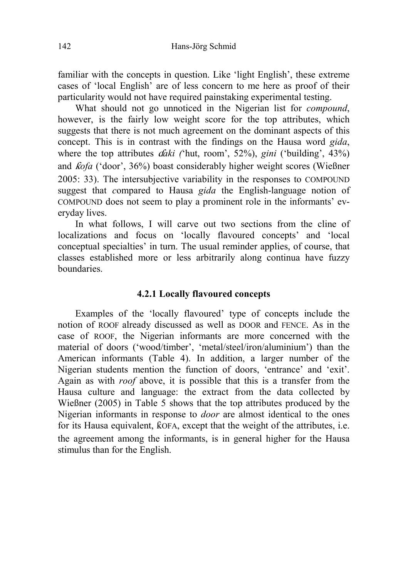familiar with the concepts in question. Like 'light English', these extreme cases of 'local English' are of less concern to me here as proof of their particularity would not have required painstaking experimental testing.

What should not go unnoticed in the Nigerian list for *compound*, however, is the fairly low weight score for the top attributes, which suggests that there is not much agreement on the dominant aspects of this concept. This is in contrast with the findings on the Hausa word *gida*, where the top attributes  $d\vec{a}k\vec{i}$  ('hut, room', 52%), gini ('building', 43%) and  $kofa$  ('door', 36%) boast considerably higher weight scores (Wießner 2005: 33). The intersubjective variability in the responses to COMPOUND suggest that compared to Hausa *gida* the English-language notion of COMPOUND does not seem to play a prominent role in the informants' everyday lives.

In what follows, I will carve out two sections from the cline of localizations and focus on 'locally flavoured concepts' and 'local conceptual specialties' in turn. The usual reminder applies, of course, that classes established more or less arbitrarily along continua have fuzzy boundaries.

#### 4.2.1 Locally flavoured concepts

Examples of the 'locally flavoured' type of concepts include the notion of ROOF already discussed as well as DOOR and FENCE. As in the case of ROOF, the Nigerian informants are more concerned with the material of doors ('wood/timber', 'metal/steel/iron/aluminium') than the American informants (Table 4). In addition, a larger number of the Nigerian students mention the function of doors, 'entrance' and 'exit'. Again as with roof above, it is possible that this is a transfer from the Hausa culture and language: the extract from the data collected by Wießner (2005) in Table 5 shows that the top attributes produced by the Nigerian informants in response to door are almost identical to the ones for its Hausa equivalent,  $\overline{k}$ OFA, except that the weight of the attributes, i.e. the agreement among the informants, is in general higher for the Hausa stimulus than for the English.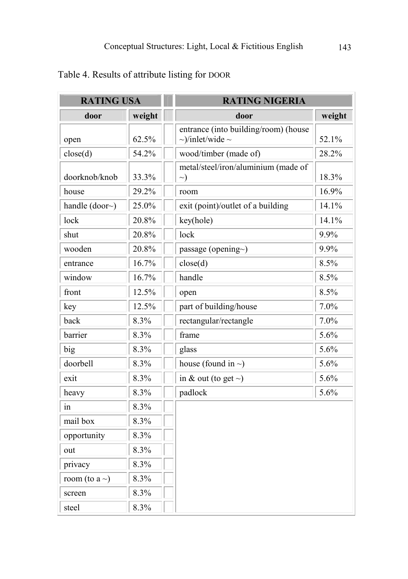| <b>RATING USA</b>   |        | <b>RATING NIGERIA</b>                                              |        |  |
|---------------------|--------|--------------------------------------------------------------------|--------|--|
| door                | weight | door                                                               | weight |  |
| open                | 62.5%  | entrance (into building/room) (house<br>$\sim$ )/inlet/wide $\sim$ | 52.1%  |  |
| close(d)            | 54.2%  | wood/timber (made of)                                              | 28.2%  |  |
| doorknob/knob       | 33.3%  | metal/steel/iron/aluminium (made of<br>$\rightarrow)$              | 18.3%  |  |
| house               | 29.2%  | room                                                               | 16.9%  |  |
| handle $(door~)$    | 25.0%  | exit (point)/outlet of a building                                  | 14.1%  |  |
| lock                | 20.8%  | key(hole)                                                          | 14.1%  |  |
| shut                | 20.8%  | lock                                                               | 9.9%   |  |
| wooden              | 20.8%  | passage (opening~)                                                 | 9.9%   |  |
| entrance            | 16.7%  | close(d)                                                           | 8.5%   |  |
| window              | 16.7%  | handle                                                             | 8.5%   |  |
| front               | 12.5%  | open                                                               | 8.5%   |  |
| key                 | 12.5%  | part of building/house                                             | 7.0%   |  |
| back                | 8.3%   | rectangular/rectangle                                              | 7.0%   |  |
| barrier             | 8.3%   | frame                                                              | 5.6%   |  |
| big                 | 8.3%   | glass                                                              | 5.6%   |  |
| doorbell            | 8.3%   | house (found in $\sim$ )                                           | 5.6%   |  |
| exit                | 8.3%   | in & out (to get $\sim$ )                                          | 5.6%   |  |
| heavy               | 8.3%   | padlock                                                            | 5.6%   |  |
| in                  | 8.3%   |                                                                    |        |  |
| mail box            | 8.3%   |                                                                    |        |  |
| opportunity         | 8.3%   |                                                                    |        |  |
| out                 | 8.3%   |                                                                    |        |  |
| privacy             | 8.3%   |                                                                    |        |  |
| room (to a $\sim$ ) | 8.3%   |                                                                    |        |  |
| screen              | 8.3%   |                                                                    |        |  |
| steel               | 8.3%   |                                                                    |        |  |

# Table 4. Results of attribute listing for DOOR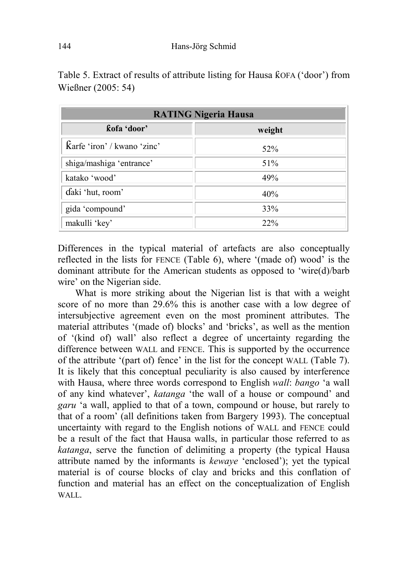| <b>RATING Nigeria Hausa</b> |        |  |  |  |
|-----------------------------|--------|--|--|--|
| kofa 'door'                 | weight |  |  |  |
| karfe 'iron' / kwano 'zinc' | 52%    |  |  |  |
| shiga/mashiga 'entrance'    | 51%    |  |  |  |
| katako 'wood'               | 49%    |  |  |  |
| daki 'hut, room'            | 40%    |  |  |  |
| gida 'compound'             | 33%    |  |  |  |
| makulli 'key'               | 22%    |  |  |  |

Table 5. Extract of results of attribute listing for Hausa  $K$ OFA ('door') from Wießner (2005: 54)

Differences in the typical material of artefacts are also conceptually reflected in the lists for FENCE (Table 6), where '(made of) wood' is the dominant attribute for the American students as opposed to 'wire(d)/barb wire' on the Nigerian side.

What is more striking about the Nigerian list is that with a weight score of no more than 29.6% this is another case with a low degree of intersubjective agreement even on the most prominent attributes. The material attributes '(made of) blocks' and 'bricks', as well as the mention of '(kind of) wall' also reflect a degree of uncertainty regarding the difference between WALL and FENCE. This is supported by the occurrence of the attribute '(part of) fence' in the list for the concept WALL (Table 7). It is likely that this conceptual peculiarity is also caused by interference with Hausa, where three words correspond to English wall: bango 'a wall of any kind whatever', katanga 'the wall of a house or compound' and garu 'a wall, applied to that of a town, compound or house, but rarely to that of a room' (all definitions taken from Bargery 1993). The conceptual uncertainty with regard to the English notions of WALL and FENCE could be a result of the fact that Hausa walls, in particular those referred to as katanga, serve the function of delimiting a property (the typical Hausa attribute named by the informants is kewaye 'enclosed'); yet the typical material is of course blocks of clay and bricks and this conflation of function and material has an effect on the conceptualization of English WALL.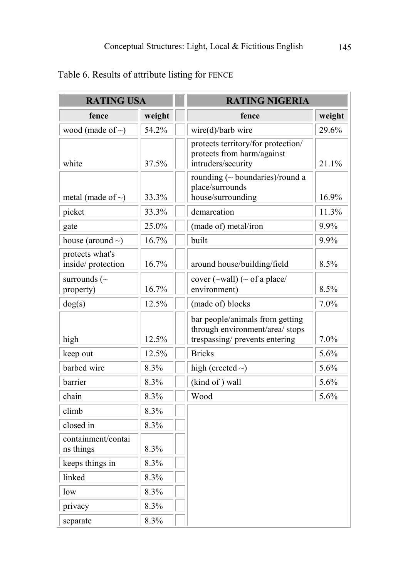| <b>RATING USA</b>                    |        | <b>RATING NIGERIA</b>                                                                                |        |  |
|--------------------------------------|--------|------------------------------------------------------------------------------------------------------|--------|--|
| fence                                | weight | fence                                                                                                | weight |  |
| wood (made of $\sim$ )               | 54.2%  | wire(d)/barb wire                                                                                    | 29.6%  |  |
| white                                | 37.5%  | protects territory/for protection/<br>protects from harm/against<br>intruders/security               | 21.1%  |  |
| metal (made of $\sim$ )              | 33.3%  | rounding $(\sim$ boundaries)/round a<br>place/surrounds<br>house/surrounding                         | 16.9%  |  |
| picket                               | 33.3%  | demarcation                                                                                          | 11.3%  |  |
| gate                                 | 25.0%  | (made of) metal/iron                                                                                 | 9.9%   |  |
| house (around $\sim$ )               | 16.7%  | built                                                                                                | 9.9%   |  |
| protects what's<br>inside/protection | 16.7%  | around house/building/field                                                                          | 8.5%   |  |
| surrounds ( $\sim$<br>property)      | 16.7%  | cover $(\sim$ wall) ( $\sim$ of a place/<br>environment)                                             | 8.5%   |  |
| dog(s)                               | 12.5%  | (made of) blocks                                                                                     | 7.0%   |  |
| high                                 | 12.5%  | bar people/animals from getting<br>through environment/area/ stops<br>trespassing/ prevents entering | 7.0%   |  |
| keep out                             | 12.5%  | <b>Bricks</b>                                                                                        | 5.6%   |  |
| barbed wire                          | 8.3%   | high (erected $\sim$ )                                                                               | 5.6%   |  |
| barrier                              | 8.3%   | (kind of) wall                                                                                       | 5.6%   |  |
| chain                                | 8.3%   | Wood                                                                                                 | 5.6%   |  |
| climb                                | 8.3%   |                                                                                                      |        |  |
| closed in                            | 8.3%   |                                                                                                      |        |  |
| containment/contai<br>ns things      | 8.3%   |                                                                                                      |        |  |
| keeps things in                      | 8.3%   |                                                                                                      |        |  |
| linked                               | 8.3%   |                                                                                                      |        |  |
| low                                  | 8.3%   |                                                                                                      |        |  |
| privacy                              | 8.3%   |                                                                                                      |        |  |
| separate                             | 8.3%   |                                                                                                      |        |  |

# Table 6. Results of attribute listing for FENCE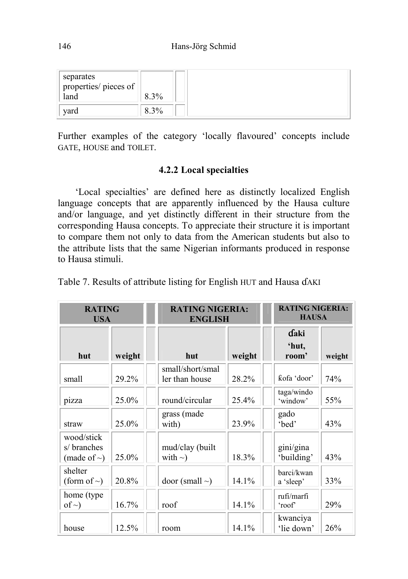| separates<br>properties/ pieces of |      |  |
|------------------------------------|------|--|
| land                               | 8.3% |  |
| yard                               | 8.3% |  |

Further examples of the category 'locally flavoured' concepts include GATE, HOUSE and TOILET.

#### 4.2.2 Local specialties

'Local specialties' are defined here as distinctly localized English language concepts that are apparently influenced by the Hausa culture and/or language, and yet distinctly different in their structure from the corresponding Hausa concepts. To appreciate their structure it is important to compare them not only to data from the American students but also to the attribute lists that the same Nigerian informants produced in response to Hausa stimuli.

| <b>RATING</b><br><b>USA</b>                    |        | <b>RATING NIGERIA:</b><br><b>ENGLISH</b> |        |                      | <b>RATING NIGERIA:</b><br><b>HAUSA</b> |        |
|------------------------------------------------|--------|------------------------------------------|--------|----------------------|----------------------------------------|--------|
| hut                                            | weight | hut                                      | weight |                      | daki<br>'hut,<br>room'                 | weight |
| small                                          | 29.2%  | small/short/smal<br>ler than house       | 28.2%  |                      | ƙofa 'door'                            | 74%    |
| pizza                                          | 25.0%  | round/circular                           | 25.4%  | 'window'             | taga/windo                             | 55%    |
| straw                                          | 25.0%  | grass (made<br>with)                     | 23.9%  | gado<br>'bed'        |                                        | 43%    |
| wood/stick<br>s/ branches<br>(made of $\sim$ ) | 25.0%  | mud/clay (built<br>with $\sim$ )         | 18.3%  |                      | gini/gina<br>'building'                | 43%    |
| shelter<br>(form of $\sim$ )                   | 20.8%  | door (small $\sim$ )                     | 14.1%  | a 'sleep'            | barci/kwan                             | 33%    |
| home (type)<br>of $\sim$ )                     | 16.7%  | roof                                     | 14.1%  | rufi/marfi<br>'roof' |                                        | 29%    |
| house                                          | 12.5%  | room                                     | 14.1%  |                      | kwanciya<br>'lie down'                 | 26%    |

Table 7. Results of attribute listing for English HUT and Hausa dAKI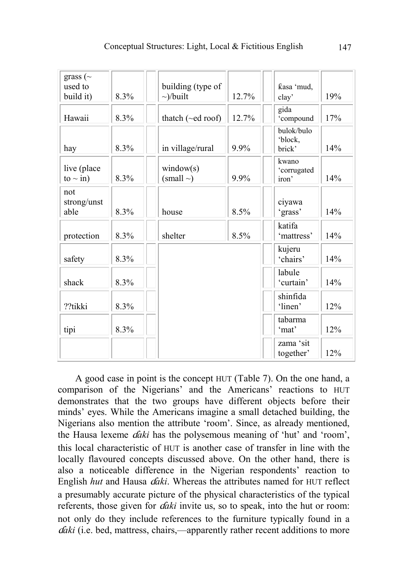| grass ( $\sim$<br>used to<br>build it) | 8.3% | building (type of<br>$\sim$ /built | 12.7% | ƙasa 'mud,<br>clay'             | 19% |
|----------------------------------------|------|------------------------------------|-------|---------------------------------|-----|
| Hawaii                                 | 8.3% | thatch (~ed roof)                  | 12.7% | gida<br>'compound               | 17% |
| hay                                    | 8.3% | in village/rural                   | 9.9%  | bulok/bulo<br>'block,<br>brick' | 14% |
| live (place<br>to $\sim$ in)           | 8.3% | window(s)<br>$(small \sim)$        | 9.9%  | kwano<br>'corrugated<br>iron'   | 14% |
| not<br>strong/unst<br>able             | 8.3% | house                              | 8.5%  | ciyawa<br>'grass'               | 14% |
| protection                             | 8.3% | shelter                            | 8.5%  | katifa<br>'mattress'            | 14% |
| safety                                 | 8.3% |                                    |       | kujeru<br>'chairs'              | 14% |
| shack                                  | 8.3% |                                    |       | labule<br>'curtain'             | 14% |
| ??tikki                                | 8.3% |                                    |       | shinfida<br>'linen'             | 12% |
| tipi                                   | 8.3% |                                    |       | tabarma<br>'mat'                | 12% |
|                                        |      |                                    |       | zama 'sit<br>together'          | 12% |

A good case in point is the concept HUT (Table 7). On the one hand, a comparison of the Nigerians' and the Americans' reactions to HUT demonstrates that the two groups have different objects before their minds' eyes. While the Americans imagine a small detached building, the Nigerians also mention the attribute 'room'. Since, as already mentioned, the Hausa lexeme  $daki$  has the polysemous meaning of 'hut' and 'room', this local characteristic of HUT is another case of transfer in line with the locally flavoured concepts discussed above. On the other hand, there is also a noticeable difference in the Nigerian respondents' reaction to English hut and Hausa *daki*. Whereas the attributes named for HUT reflect a presumably accurate picture of the physical characteristics of the typical referents, those given for *daki* invite us, so to speak, into the hut or room: not only do they include references to the furniture typically found in a *daki* (i.e. bed, mattress, chairs,—apparently rather recent additions to more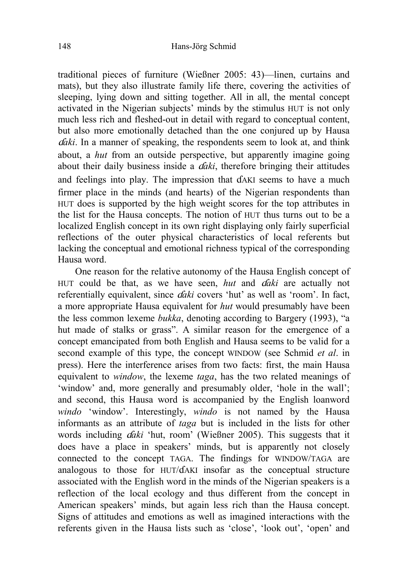traditional pieces of furniture (Wießner 2005: 43)—linen, curtains and mats), but they also illustrate family life there, covering the activities of sleeping, lying down and sitting together. All in all, the mental concept activated in the Nigerian subjects' minds by the stimulus HUT is not only much less rich and fleshed-out in detail with regard to conceptual content, but also more emotionally detached than the one conjured up by Hausa  $q'$ aki. In a manner of speaking, the respondents seem to look at, and think about, a hut from an outside perspective, but apparently imagine going about their daily business inside a  $daki$ , therefore bringing their attitudes and feelings into play. The impression that  $dA K I$  seems to have a much firmer place in the minds (and hearts) of the Nigerian respondents than HUT does is supported by the high weight scores for the top attributes in the list for the Hausa concepts. The notion of HUT thus turns out to be a localized English concept in its own right displaying only fairly superficial reflections of the outer physical characteristics of local referents but lacking the conceptual and emotional richness typical of the corresponding Hausa word.

One reason for the relative autonomy of the Hausa English concept of HUT could be that, as we have seen, *hut* and  $\hat{a}$ *daki* are actually not referentially equivalent, since *daki* covers 'hut' as well as 'room'. In fact, a more appropriate Hausa equivalent for hut would presumably have been the less common lexeme bukka, denoting according to Bargery (1993), "a hut made of stalks or grass". A similar reason for the emergence of a concept emancipated from both English and Hausa seems to be valid for a second example of this type, the concept WINDOW (see Schmid *et al.* in press). Here the interference arises from two facts: first, the main Hausa equivalent to window, the lexeme taga, has the two related meanings of 'window' and, more generally and presumably older, 'hole in the wall'; and second, this Hausa word is accompanied by the English loanword windo 'window'. Interestingly, windo is not named by the Hausa informants as an attribute of taga but is included in the lists for other words including *daki* 'hut, room' (Wießner 2005). This suggests that it does have a place in speakers' minds, but is apparently not closely connected to the concept TAGA. The findings for WINDOW/TAGA are analogous to those for  $HUT/dAKI$  insofar as the conceptual structure associated with the English word in the minds of the Nigerian speakers is a reflection of the local ecology and thus different from the concept in American speakers' minds, but again less rich than the Hausa concept. Signs of attitudes and emotions as well as imagined interactions with the referents given in the Hausa lists such as 'close', 'look out', 'open' and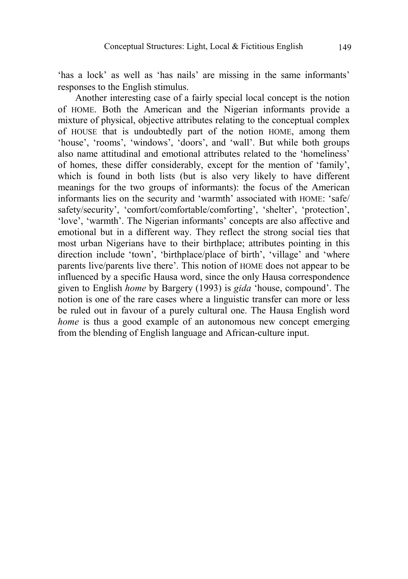'has a lock' as well as 'has nails' are missing in the same informants' responses to the English stimulus.

 Another interesting case of a fairly special local concept is the notion of HOME. Both the American and the Nigerian informants provide a mixture of physical, objective attributes relating to the conceptual complex of HOUSE that is undoubtedly part of the notion HOME, among them 'house', 'rooms', 'windows', 'doors', and 'wall'. But while both groups also name attitudinal and emotional attributes related to the 'homeliness' of homes, these differ considerably, except for the mention of 'family', which is found in both lists (but is also very likely to have different meanings for the two groups of informants): the focus of the American informants lies on the security and 'warmth' associated with HOME: 'safe/ safety/security', 'comfort/comfortable/comforting', 'shelter', 'protection', 'love', 'warmth'. The Nigerian informants' concepts are also affective and emotional but in a different way. They reflect the strong social ties that most urban Nigerians have to their birthplace; attributes pointing in this direction include 'town', 'birthplace/place of birth', 'village' and 'where parents live/parents live there'. This notion of HOME does not appear to be influenced by a specific Hausa word, since the only Hausa correspondence given to English home by Bargery (1993) is gida 'house, compound'. The notion is one of the rare cases where a linguistic transfer can more or less be ruled out in favour of a purely cultural one. The Hausa English word home is thus a good example of an autonomous new concept emerging from the blending of English language and African-culture input.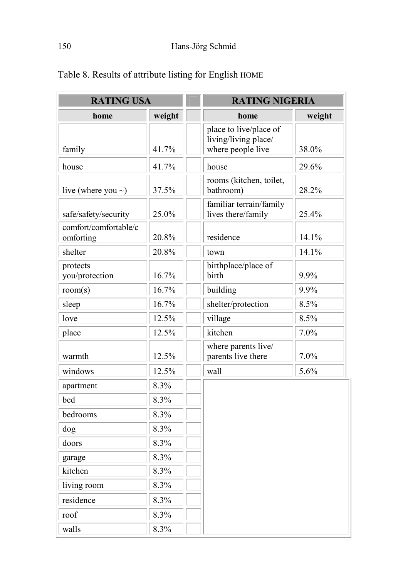| <b>RATING USA</b>                  |        | <b>RATING NIGERIA</b>                                               |        |
|------------------------------------|--------|---------------------------------------------------------------------|--------|
| home                               | weight | home                                                                | weight |
| family                             | 41.7%  | place to live/place of<br>living/living place/<br>where people live | 38.0%  |
| house                              | 41.7%  | house                                                               | 29.6%  |
| live (where you $\sim$ )           | 37.5%  | rooms (kitchen, toilet,<br>bathroom)                                | 28.2%  |
| safe/safety/security               | 25.0%  | familiar terrain/family<br>lives there/family                       | 25.4%  |
| comfort/comfortable/c<br>omforting | 20.8%  | residence                                                           | 14.1%  |
| shelter                            | 20.8%  | town                                                                | 14.1%  |
| protects<br>you/protection         | 16.7%  | birthplace/place of<br>birth                                        | 9.9%   |
| room(s)                            | 16.7%  | building                                                            | 9.9%   |
| sleep                              | 16.7%  | shelter/protection                                                  | 8.5%   |
| love                               | 12.5%  | village                                                             | 8.5%   |
| place                              | 12.5%  | kitchen                                                             | 7.0%   |
| warmth                             | 12.5%  | where parents live/<br>parents live there                           | 7.0%   |
| windows                            | 12.5%  | wall                                                                | 5.6%   |
| apartment                          | 8.3%   |                                                                     |        |
| bed                                | 8.3%   |                                                                     |        |
| bedrooms                           | 8.3%   |                                                                     |        |
| dog                                | 8.3%   |                                                                     |        |
| doors                              | 8.3%   |                                                                     |        |
| garage                             | 8.3%   |                                                                     |        |
| kitchen                            | 8.3%   |                                                                     |        |
| living room                        | 8.3%   |                                                                     |        |
| residence                          | 8.3%   |                                                                     |        |
| roof                               | 8.3%   |                                                                     |        |
| walls                              | 8.3%   |                                                                     |        |

# Table 8. Results of attribute listing for English HOME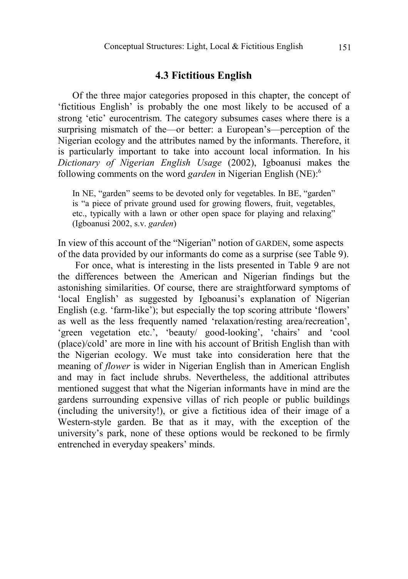### 4.3 Fictitious English

Of the three major categories proposed in this chapter, the concept of 'fictitious English' is probably the one most likely to be accused of a strong 'etic' eurocentrism. The category subsumes cases where there is a surprising mismatch of the—or better: a European's—perception of the Nigerian ecology and the attributes named by the informants. Therefore, it is particularly important to take into account local information. In his Dictionary of Nigerian English Usage (2002), Igboanusi makes the following comments on the word garden in Nigerian English (NE):<sup>6</sup>

In NE, "garden" seems to be devoted only for vegetables. In BE, "garden" is "a piece of private ground used for growing flowers, fruit, vegetables, etc., typically with a lawn or other open space for playing and relaxing" (Igboanusi 2002, s.v. garden)

In view of this account of the "Nigerian" notion of GARDEN, some aspects of the data provided by our informants do come as a surprise (see Table 9).

For once, what is interesting in the lists presented in Table 9 are not the differences between the American and Nigerian findings but the astonishing similarities. Of course, there are straightforward symptoms of 'local English' as suggested by Igboanusi's explanation of Nigerian English (e.g. 'farm-like'); but especially the top scoring attribute 'flowers' as well as the less frequently named 'relaxation/resting area/recreation', 'green vegetation etc.', 'beauty/ good-looking', 'chairs' and 'cool (place)/cold' are more in line with his account of British English than with the Nigerian ecology. We must take into consideration here that the meaning of flower is wider in Nigerian English than in American English and may in fact include shrubs. Nevertheless, the additional attributes mentioned suggest that what the Nigerian informants have in mind are the gardens surrounding expensive villas of rich people or public buildings (including the university!), or give a fictitious idea of their image of a Western-style garden. Be that as it may, with the exception of the university's park, none of these options would be reckoned to be firmly entrenched in everyday speakers' minds.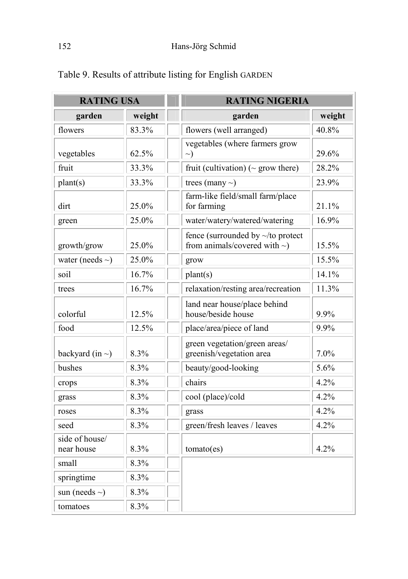| <b>RATING USA</b>            |        | <b>RATING NIGERIA</b>                                                         |        |
|------------------------------|--------|-------------------------------------------------------------------------------|--------|
| garden                       | weight | garden                                                                        | weight |
| flowers                      | 83.3%  | flowers (well arranged)                                                       | 40.8%  |
| vegetables                   | 62.5%  | vegetables (where farmers grow<br>$\sim)$                                     | 29.6%  |
| fruit                        | 33.3%  | fruit (cultivation) ( $\sim$ grow there)                                      | 28.2%  |
| plant(s)                     | 33.3%  | trees (many $\sim$ )                                                          | 23.9%  |
| dirt                         | 25.0%  | farm-like field/small farm/place<br>for farming                               | 21.1%  |
| green                        | 25.0%  | water/watery/watered/watering                                                 | 16.9%  |
| growth/grow                  | 25.0%  | fence (surrounded by $\sim$ /to protect<br>from animals/covered with $\sim$ ) | 15.5%  |
| water (needs $\sim$ )        | 25.0%  | grow                                                                          | 15.5%  |
| soil                         | 16.7%  | $\text{plant}(s)$                                                             | 14.1%  |
| trees                        | 16.7%  | relaxation/resting area/recreation                                            | 11.3%  |
| colorful                     | 12.5%  | land near house/place behind<br>house/beside house                            | 9.9%   |
| food                         | 12.5%  | place/area/piece of land                                                      | 9.9%   |
| backyard (in $\sim$ )        | 8.3%   | green vegetation/green areas/<br>greenish/vegetation area                     | 7.0%   |
| bushes                       | 8.3%   | beauty/good-looking                                                           | 5.6%   |
| crops                        | 8.3%   | chairs                                                                        | 4.2%   |
| grass                        | 8.3%   | cool (place)/cold                                                             | 4.2%   |
| roses                        | 8.3%   | grass                                                                         | 4.2%   |
| seed                         | 8.3%   | green/fresh leaves / leaves                                                   | 4.2%   |
| side of house/<br>near house | 8.3%   | tomato(es)                                                                    | 4.2%   |
| small                        | 8.3%   |                                                                               |        |
| springtime                   | 8.3%   |                                                                               |        |
| sun (needs $\sim$ )          | 8.3%   |                                                                               |        |
| tomatoes                     | 8.3%   |                                                                               |        |

Table 9. Results of attribute listing for English GARDEN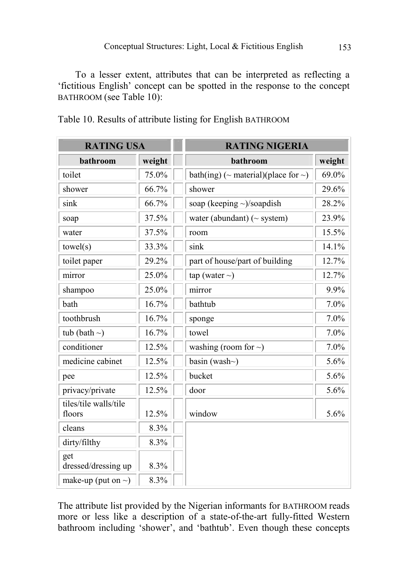To a lesser extent, attributes that can be interpreted as reflecting a 'fictitious English' concept can be spotted in the response to the concept BATHROOM (see Table 10):

| <b>RATING USA</b>               |        | <b>RATING NIGERIA</b>                           |        |  |
|---------------------------------|--------|-------------------------------------------------|--------|--|
| bathroom                        | weight | bathroom                                        | weight |  |
| toilet                          | 75.0%  | bath(ing) ( $\sim$ material)(place for $\sim$ ) | 69.0%  |  |
| shower                          | 66.7%  | shower                                          | 29.6%  |  |
| sink                            | 66.7%  | soap (keeping $\sim$ )/soapdish                 | 28.2%  |  |
| soap                            | 37.5%  | water (abundant) ( $\sim$ system)               | 23.9%  |  |
| water                           | 37.5%  | room                                            | 15.5%  |  |
| towel(s)                        | 33.3%  | sink                                            | 14.1%  |  |
| toilet paper                    | 29.2%  | part of house/part of building                  | 12.7%  |  |
| mirror                          | 25.0%  | tap (water $\sim$ )                             | 12.7%  |  |
| shampoo                         | 25.0%  | mirror                                          | 9.9%   |  |
| bath                            | 16.7%  | bathtub                                         | 7.0%   |  |
| toothbrush                      | 16.7%  | sponge                                          | 7.0%   |  |
| tub (bath $\sim$ )              | 16.7%  | towel                                           | 7.0%   |  |
| conditioner                     | 12.5%  | washing (room for $\sim$ )                      | 7.0%   |  |
| medicine cabinet                | 12.5%  | basin (wash $\sim$ )                            | 5.6%   |  |
| pee                             | 12.5%  | bucket                                          | 5.6%   |  |
| privacy/private                 | 12.5%  | door                                            | 5.6%   |  |
| tiles/tile walls/tile<br>floors | 12.5%  | window                                          | 5.6%   |  |
| cleans                          | 8.3%   |                                                 |        |  |
| dirty/filthy                    | 8.3%   |                                                 |        |  |
| get<br>dressed/dressing up      | 8.3%   |                                                 |        |  |
| make-up (put on $\sim$ )        | 8.3%   |                                                 |        |  |

Table 10. Results of attribute listing for English BATHROOM

The attribute list provided by the Nigerian informants for BATHROOM reads more or less like a description of a state-of-the-art fully-fitted Western bathroom including 'shower', and 'bathtub'. Even though these concepts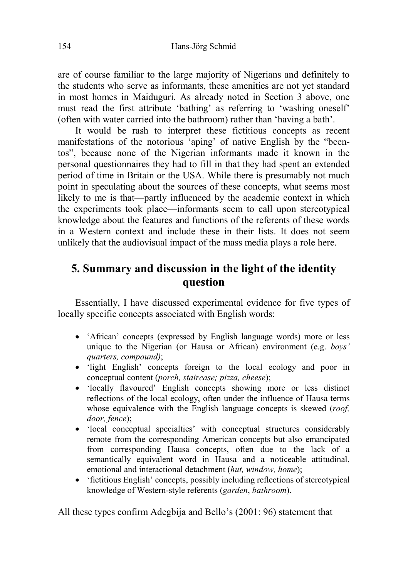are of course familiar to the large majority of Nigerians and definitely to the students who serve as informants, these amenities are not yet standard in most homes in Maiduguri. As already noted in Section 3 above, one must read the first attribute 'bathing' as referring to 'washing oneself' (often with water carried into the bathroom) rather than 'having a bath'.

It would be rash to interpret these fictitious concepts as recent manifestations of the notorious 'aping' of native English by the "beentos", because none of the Nigerian informants made it known in the personal questionnaires they had to fill in that they had spent an extended period of time in Britain or the USA. While there is presumably not much point in speculating about the sources of these concepts, what seems most likely to me is that—partly influenced by the academic context in which the experiments took place—informants seem to call upon stereotypical knowledge about the features and functions of the referents of these words in a Western context and include these in their lists. It does not seem unlikely that the audiovisual impact of the mass media plays a role here.

# 5. Summary and discussion in the light of the identity question

Essentially, I have discussed experimental evidence for five types of locally specific concepts associated with English words:

- 'African' concepts (expressed by English language words) more or less unique to the Nigerian (or Hausa or African) environment (e.g. boys' quarters, compound);
- 'light English' concepts foreign to the local ecology and poor in conceptual content (porch, staircase; pizza, cheese);
- 'locally flavoured' English concepts showing more or less distinct reflections of the local ecology, often under the influence of Hausa terms whose equivalence with the English language concepts is skewed *(roof,* door, fence);
- 'local conceptual specialties' with conceptual structures considerably remote from the corresponding American concepts but also emancipated from corresponding Hausa concepts, often due to the lack of a semantically equivalent word in Hausa and a noticeable attitudinal, emotional and interactional detachment (hut, window, home);
- 'fictitious English' concepts, possibly including reflections of stereotypical knowledge of Western-style referents (garden, bathroom).

All these types confirm Adegbija and Bello's (2001: 96) statement that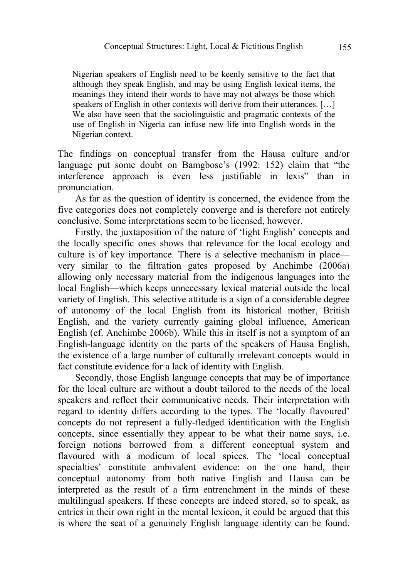Nigerian speakers of English need to be keenly sensitive to the fact that although they speak English, and may be using English lexical items, the meanings they intend their words to have may not always be those which speakers of English in other contexts will derive from their utterances. [...] We also have seen that the sociolinguistic and pragmatic contexts of the use of English in Nigeria can infuse new life into English words in the Nigerian context.

The findings on conceptual transfer from the Hausa culture and/or language put some doubt on Bamgbose's (1992: 152) claim that "the interference approach is even less justifiable in lexis" than in pronunciation.

As far as the question of identity is concerned, the evidence from the five categories does not completely converge and is therefore not entirely conclusive. Some interpretations seem to be licensed, however.

Firstly, the juxtaposition of the nature of 'light English' concepts and the locally specific ones shows that relevance for the local ecology and culture is of key importance. There is a selective mechanism in place very similar to the filtration gates proposed by Anchimbe (2006a) allowing only necessary material from the indigenous languages into the local English—which keeps unnecessary lexical material outside the local variety of English. This selective attitude is a sign of a considerable degree of autonomy of the local English from its historical mother, British English, and the variety currently gaining global influence, American English (cf. Anchimbe 2006b). While this in itself is not a symptom of an English-language identity on the parts of the speakers of Hausa English, the existence of a large number of culturally irrelevant concepts would in fact constitute evidence for a lack of identity with English.

Secondly, those English language concepts that may be of importance for the local culture are without a doubt tailored to the needs of the local speakers and reflect their communicative needs. Their interpretation with regard to identity differs according to the types. The 'locally flavoured' concepts do not represent a fully-fledged identification with the English concepts, since essentially they appear to be what their name says, i.e. foreign notions borrowed from a different conceptual system and flavoured with a modicum of local spices. The 'local conceptual specialties' constitute ambivalent evidence: on the one hand, their conceptual autonomy from both native English and Hausa can be interpreted as the result of a firm entrenchment in the minds of these multilingual speakers. If these concepts are indeed stored, so to speak, as entries in their own right in the mental lexicon, it could be argued that this is where the seat of a genuinely English language identity can be found.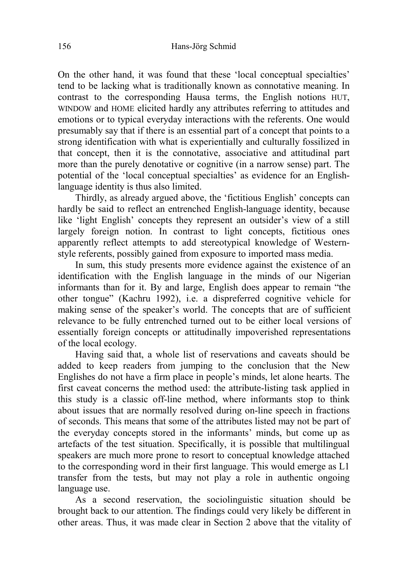On the other hand, it was found that these 'local conceptual specialties' tend to be lacking what is traditionally known as connotative meaning. In contrast to the corresponding Hausa terms, the English notions HUT, WINDOW and HOME elicited hardly any attributes referring to attitudes and emotions or to typical everyday interactions with the referents. One would presumably say that if there is an essential part of a concept that points to a strong identification with what is experientially and culturally fossilized in that concept, then it is the connotative, associative and attitudinal part more than the purely denotative or cognitive (in a narrow sense) part. The potential of the 'local conceptual specialties' as evidence for an Englishlanguage identity is thus also limited.

Thirdly, as already argued above, the 'fictitious English' concepts can hardly be said to reflect an entrenched English-language identity, because like 'light English' concepts they represent an outsider's view of a still largely foreign notion. In contrast to light concepts, fictitious ones apparently reflect attempts to add stereotypical knowledge of Westernstyle referents, possibly gained from exposure to imported mass media.

In sum, this study presents more evidence against the existence of an identification with the English language in the minds of our Nigerian informants than for it. By and large, English does appear to remain "the other tongue" (Kachru 1992), i.e. a dispreferred cognitive vehicle for making sense of the speaker's world. The concepts that are of sufficient relevance to be fully entrenched turned out to be either local versions of essentially foreign concepts or attitudinally impoverished representations of the local ecology.

Having said that, a whole list of reservations and caveats should be added to keep readers from jumping to the conclusion that the New Englishes do not have a firm place in people's minds, let alone hearts. The first caveat concerns the method used: the attribute-listing task applied in this study is a classic off-line method, where informants stop to think about issues that are normally resolved during on-line speech in fractions of seconds. This means that some of the attributes listed may not be part of the everyday concepts stored in the informants' minds, but come up as artefacts of the test situation. Specifically, it is possible that multilingual speakers are much more prone to resort to conceptual knowledge attached to the corresponding word in their first language. This would emerge as L1 transfer from the tests, but may not play a role in authentic ongoing language use.

As a second reservation, the sociolinguistic situation should be brought back to our attention. The findings could very likely be different in other areas. Thus, it was made clear in Section 2 above that the vitality of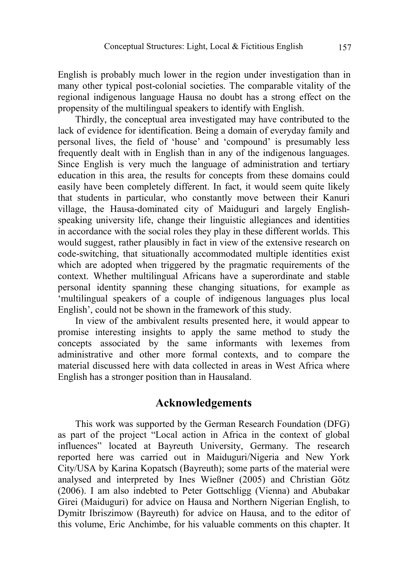English is probably much lower in the region under investigation than in many other typical post-colonial societies. The comparable vitality of the regional indigenous language Hausa no doubt has a strong effect on the propensity of the multilingual speakers to identify with English.

Thirdly, the conceptual area investigated may have contributed to the lack of evidence for identification. Being a domain of everyday family and personal lives, the field of 'house' and 'compound' is presumably less frequently dealt with in English than in any of the indigenous languages. Since English is very much the language of administration and tertiary education in this area, the results for concepts from these domains could easily have been completely different. In fact, it would seem quite likely that students in particular, who constantly move between their Kanuri village, the Hausa-dominated city of Maiduguri and largely Englishspeaking university life, change their linguistic allegiances and identities in accordance with the social roles they play in these different worlds. This would suggest, rather plausibly in fact in view of the extensive research on code-switching, that situationally accommodated multiple identities exist which are adopted when triggered by the pragmatic requirements of the context. Whether multilingual Africans have a superordinate and stable personal identity spanning these changing situations, for example as 'multilingual speakers of a couple of indigenous languages plus local English', could not be shown in the framework of this study.

In view of the ambivalent results presented here, it would appear to promise interesting insights to apply the same method to study the concepts associated by the same informants with lexemes from administrative and other more formal contexts, and to compare the material discussed here with data collected in areas in West Africa where English has a stronger position than in Hausaland.

## Acknowledgements

This work was supported by the German Research Foundation (DFG) as part of the project "Local action in Africa in the context of global influences" located at Bayreuth University, Germany. The research reported here was carried out in Maiduguri/Nigeria and New York City/USA by Karina Kopatsch (Bayreuth); some parts of the material were analysed and interpreted by Ines Wießner (2005) and Christian Götz (2006). I am also indebted to Peter Gottschligg (Vienna) and Abubakar Girei (Maiduguri) for advice on Hausa and Northern Nigerian English, to Dymitr Ibriszimow (Bayreuth) for advice on Hausa, and to the editor of this volume, Eric Anchimbe, for his valuable comments on this chapter. It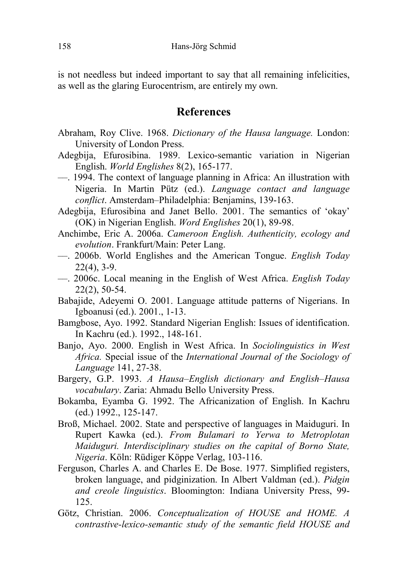is not needless but indeed important to say that all remaining infelicities, as well as the glaring Eurocentrism, are entirely my own.

## References

- Abraham, Roy Clive. 1968. Dictionary of the Hausa language. London: University of London Press.
- Adegbija, Efurosibina. 1989. Lexico-semantic variation in Nigerian English. World Englishes 8(2), 165-177.
- ––. 1994. The context of language planning in Africa: An illustration with Nigeria. In Martin Pütz (ed.). Language contact and language conflict. Amsterdam–Philadelphia: Benjamins, 139-163.
- Adegbija, Efurosibina and Janet Bello. 2001. The semantics of 'okay' (OK) in Nigerian English. Word Englishes 20(1), 89-98.
- Anchimbe, Eric A. 2006a. Cameroon English. Authenticity, ecology and evolution. Frankfurt/Main: Peter Lang.
- ––. 2006b. World Englishes and the American Tongue. English Today 22(4), 3-9.
- ––. 2006c. Local meaning in the English of West Africa. English Today 22(2), 50-54.
- Babajide, Adeyemi O. 2001. Language attitude patterns of Nigerians. In Igboanusi (ed.). 2001., 1-13.
- Bamgbose, Ayo. 1992. Standard Nigerian English: Issues of identification. In Kachru (ed.). 1992., 148-161.
- Banjo, Ayo. 2000. English in West Africa. In Sociolinguistics in West Africa. Special issue of the International Journal of the Sociology of Language 141, 27-38.
- Bargery, G.P. 1993. A Hausa–English dictionary and English–Hausa vocabulary. Zaria: Ahmadu Bello University Press.
- Bokamba, Eyamba G. 1992. The Africanization of English. In Kachru (ed.) 1992., 125-147.
- Broß, Michael. 2002. State and perspective of languages in Maiduguri. In Rupert Kawka (ed.). From Bulamari to Yerwa to Metroplotan Maiduguri. Interdisciplinary studies on the capital of Borno State, 1igeria. Köln: Rüdiger Köppe Verlag, 103-116.
- Ferguson, Charles A. and Charles E. De Bose. 1977. Simplified registers, broken language, and pidginization. In Albert Valdman (ed.). Pidgin and creole linguistics. Bloomington: Indiana University Press, 99- 125.
- Götz, Christian. 2006. Conceptualization of HOUSE and HOME. A contrastive-lexico-semantic study of the semantic field HOUSE and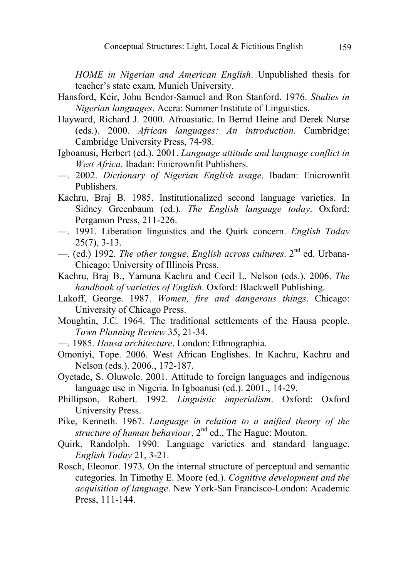HOME in Nigerian and American English. Unpublished thesis for teacher's state exam, Munich University.

- Hansford, Keir, Johu Bendor-Samuel and Ron Stanford. 1976. Studies in Nigerian languages. Accra: Summer Institute of Linguistics.
- Hayward, Richard J. 2000. Afroasiatic. In Bernd Heine and Derek Nurse (eds.). 2000. African languages: An introduction. Cambridge: Cambridge University Press, 74-98.
- Igboanusi, Herbert (ed.). 2001. Language attitude and language conflict in West Africa. Ibadan: Enicrownfit Publishers.
- ––. 2002. Dictionary of 1igerian English usage. Ibadan: Enicrownfit Publishers.
- Kachru, Braj B. 1985. Institutionalized second language varieties. In Sidney Greenbaum (ed.). The English language today. Oxford: Pergamon Press, 211-226.
- ––. 1991. Liberation linguistics and the Quirk concern. English Today  $25(7)$ ,  $3-13$ .
- $-$ . (ed.) 1992. The other tongue. English across cultures.  $2<sup>nd</sup>$  ed. Urbana-Chicago: University of Illinois Press.
- Kachru, Braj B., Yamuna Kachru and Cecil L. Nelson (eds.). 2006. The handbook of varieties of English. Oxford: Blackwell Publishing.
- Lakoff, George. 1987. Women, fire and dangerous things. Chicago: University of Chicago Press.
- Moughtin, J.C. 1964. The traditional settlements of the Hausa people. Town Planning Review 35, 21-34.
- ––. 1985. Hausa architecture. London: Ethnographia.
- Omoniyi, Tope. 2006. West African Englishes. In Kachru, Kachru and Nelson (eds.). 2006., 172-187.
- Oyetade, S. Oluwole. 2001. Attitude to foreign languages and indigenous language use in Nigeria. In Igboanusi (ed.). 2001., 14-29.
- Phillipson, Robert. 1992. Linguistic imperialism. Oxford: Oxford University Press.
- Pike, Kenneth. 1967. Language in relation to a unified theory of the structure of human behaviour,  $2<sup>nd</sup>$  ed., The Hague: Mouton.
- Quirk, Randolph. 1990. Language varieties and standard language. English Today 21, 3-21.
- Rosch, Eleonor. 1973. On the internal structure of perceptual and semantic categories. In Timothy E. Moore (ed.). Cognitive development and the acquisition of language. New York-San Francisco-London: Academic Press, 111-144.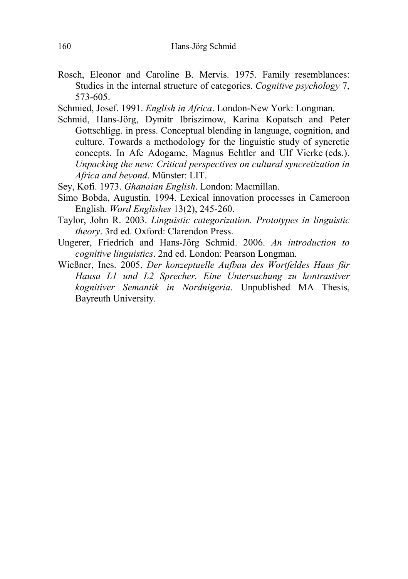Rosch, Eleonor and Caroline B. Mervis. 1975. Family resemblances: Studies in the internal structure of categories. Cognitive psychology 7, 573-605.

Schmied, Josef. 1991. English in Africa. London-New York: Longman.

Schmid, Hans-Jörg, Dymitr Ibriszimow, Karina Kopatsch and Peter Gottschligg. in press. Conceptual blending in language, cognition, and culture. Towards a methodology for the linguistic study of syncretic concepts. In Afe Adogame, Magnus Echtler and Ulf Vierke (eds.). Unpacking the new: Critical perspectives on cultural syncretization in Africa and beyond. Münster: LIT.

Sey, Kofi. 1973. Ghanaian English. London: Macmillan.

- Simo Bobda, Augustin. 1994. Lexical innovation processes in Cameroon English. Word Englishes 13(2), 245-260.
- Taylor, John R. 2003. Linguistic categorization. Prototypes in linguistic theory. 3rd ed. Oxford: Clarendon Press.
- Ungerer, Friedrich and Hans-Jörg Schmid. 2006. An introduction to cognitive linguistics. 2nd ed. London: Pearson Longman.
- Wießner, Ines. 2005. Der konzeptuelle Aufbau des Wortfeldes Haus für Hausa L1 und L2 Sprecher. Eine Untersuchung zu kontrastiver kognitiver Semantik in Nordnigeria. Unpublished MA Thesis, Bayreuth University.